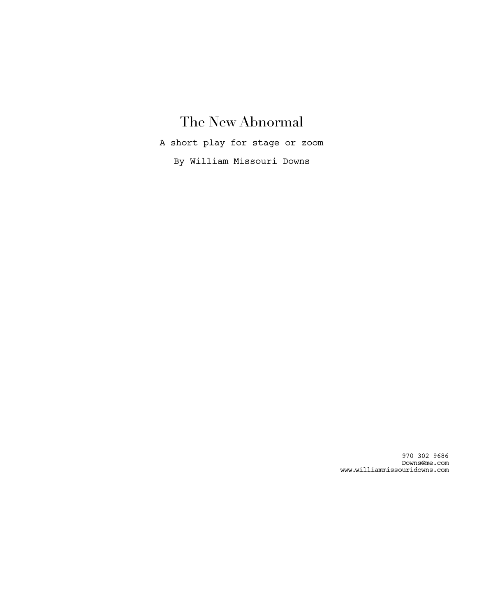# The New Abnormal

A short play for stage or zoom

By William Missouri Downs

970 302 9686 Downs@me.com www.williammissouridowns.com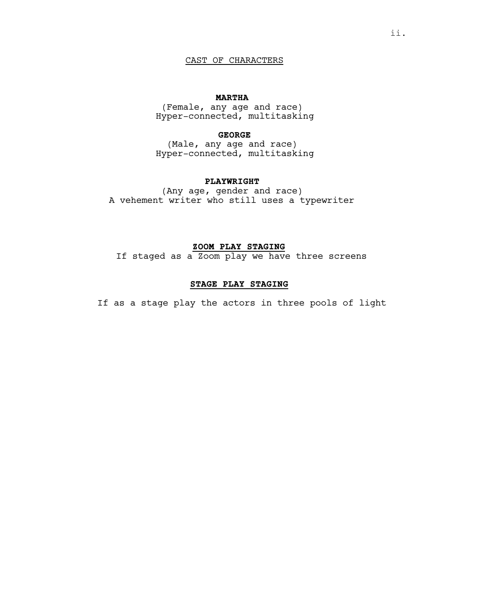# CAST OF CHARACTERS

# **MARTHA**

(Female, any age and race) Hyper-connected, multitasking

# **GEORGE**

(Male, any age and race) Hyper-connected, multitasking

# **PLAYWRIGHT**

(Any age, gender and race) A vehement writer who still uses a typewriter

# **ZOOM PLAY STAGING**

If staged as a Zoom play we have three screens

# **STAGE PLAY STAGING**

If as a stage play the actors in three pools of light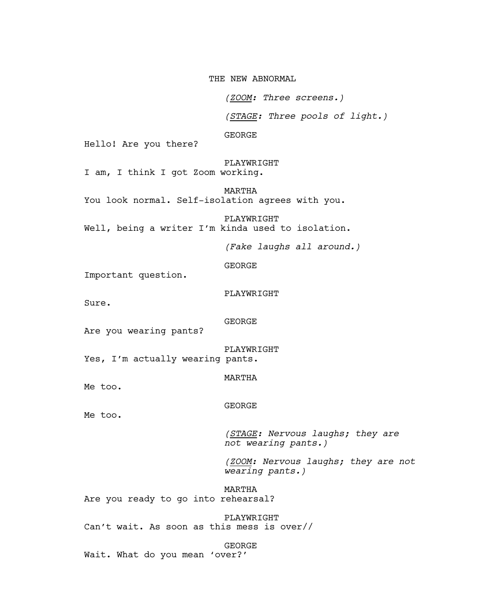THE NEW ABNORMAL

*(ZOOM: Three screens.)*

*(STAGE: Three pools of light.)*

GEORGE

Hello! Are you there?

PLAYWRIGHT I am, I think I got Zoom working.

MARTHA You look normal. Self-isolation agrees with you.

PLAYWRIGHT Well, being a writer I'm kinda used to isolation.

*(Fake laughs all around.)*

GEORGE

Important question.

PLAYWRIGHT

Sure.

GEORGE

Are you wearing pants?

PLAYWRIGHT

Yes, I'm actually wearing pants.

MARTHA

Me too.

Me too.

GEORGE

*(STAGE: Nervous laughs; they are not wearing pants.)*

*(ZOOM: Nervous laughs; they are not wearing pants.)*

MARTHA Are you ready to go into rehearsal?

PLAYWRIGHT Can't wait. As soon as this mess is over//

GEORGE

Wait. What do you mean 'over?'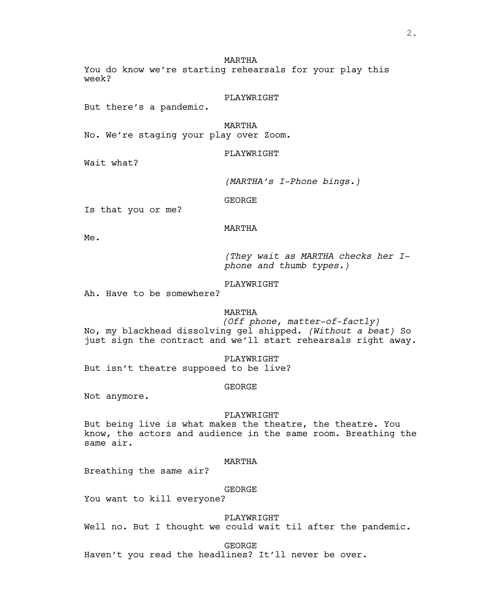MARTHA

You do know we're starting rehearsals for your play this week?

PLAYWRIGHT

But there's a pandemic.

MARTHA No. We're staging your play over Zoom.

PLAYWRIGHT

Wait what?

*(MARTHA's I-Phone bings.)*

GEORGE

Is that you or me?

MARTHA

Me.

*(They wait as MARTHA checks her Iphone and thumb types.)*

# PLAYWRIGHT

Ah. Have to be somewhere?

# MARTHA

*(Off phone, matter-of-factly)* No, my blackhead dissolving gel shipped. *(Without a beat)* So just sign the contract and we'll start rehearsals right away.

PLAYWRIGHT

But isn't theatre supposed to be live?

GEORGE

Not anymore.

## PLAYWRIGHT

But being live is what makes the theatre, the theatre. You know, the actors and audience in the same room. Breathing the same air.

## MARTHA

Breathing the same air?

GEORGE

You want to kill everyone?

PLAYWRIGHT

Well no. But I thought we could wait til after the pandemic.

GEORGE

Haven't you read the headlines? It'll never be over.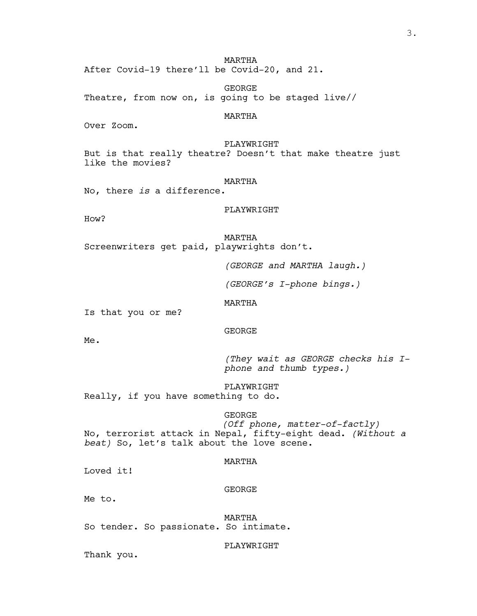MARTHA After Covid-19 there'll be Covid-20, and 21.

GEORGE Theatre, from now on, is going to be staged live//

# MARTHA

Over Zoom.

PLAYWRIGHT But is that really theatre? Doesn't that make theatre just like the movies?

# MARTHA

No, there *is* a difference.

## PLAYWRIGHT

How?

MARTHA Screenwriters get paid, playwrights don't.

*(GEORGE and MARTHA laugh.)*

*(GEORGE's I-phone bings.)*

MARTHA

Is that you or me?

GEORGE

Me.

*(They wait as GEORGE checks his Iphone and thumb types.)*

PLAYWRIGHT Really, if you have something to do.

# GEORGE

*(Off phone, matter-of-factly)* No, terrorist attack in Nepal, fifty-eight dead. *(Without a beat)* So, let's talk about the love scene.

MARTHA

Loved it!

#### GEORGE

Me to.

MARTHA So tender. So passionate. So intimate.

#### PLAYWRIGHT

Thank you.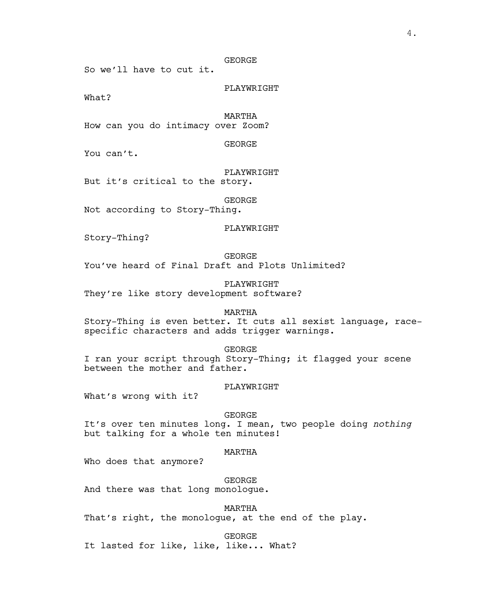## GEORGE

So we'll have to cut it.

PLAYWRIGHT

What?

MARTHA

How can you do intimacy over Zoom?

GEORGE

You can't.

PLAYWRIGHT But it's critical to the story.

GEORGE

Not according to Story-Thing.

#### PLAYWRIGHT

Story-Thing?

GEORGE You've heard of Final Draft and Plots Unlimited?

PLAYWRIGHT They're like story development software?

MARTHA

Story-Thing is even better. It cuts all sexist language, racespecific characters and adds trigger warnings.

GEORGE

I ran your script through Story-Thing; it flagged your scene between the mother and father.

# PLAYWRIGHT

What's wrong with it?

# GEORGE

It's over ten minutes long. I mean, two people doing *nothing* but talking for a whole ten minutes!

## MARTHA

Who does that anymore?

GEORGE

And there was that long monologue.

MARTHA

That's right, the monologue, at the end of the play.

GEORGE

It lasted for like, like, like... What?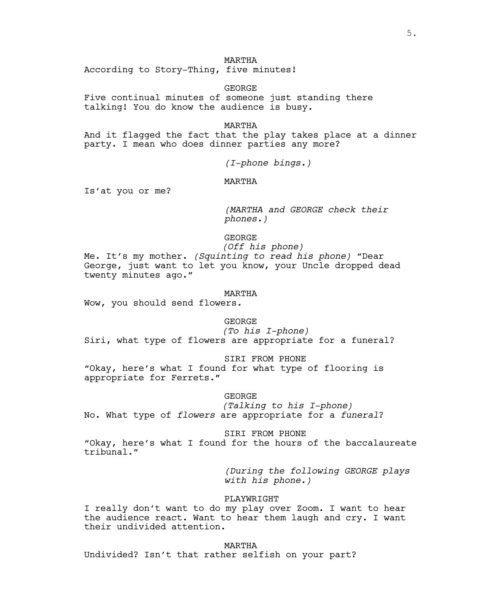## MARTHA

According to Story-Thing, five minutes!

GEORGE

Five continual minutes of someone just standing there talking! You do know the audience is busy.

MARTHA

And it flagged the fact that the play takes place at a dinner party. I mean who does dinner parties any more?

*(I-phone bings.)*

MARTHA

Is'at you or me?

*(MARTHA and GEORGE check their phones.)*

GEORGE

*(Off his phone)* Me. It's my mother. *(Squinting to read his phone)* "Dear George, just want to let you know, your Uncle dropped dead twenty minutes ago."

MARTHA

Wow, you should send flowers.

GEORGE

*(To his I-phone)* Siri, what type of flowers are appropriate for a funeral?

SIRI FROM PHONE

"Okay, here's what I found for what type of flooring is appropriate for Ferrets**."**

GEORGE

*(Talking to his I-phone)* No. What type of *flowers* are appropriate for a *funeral*?

SIRI FROM PHONE

"Okay, here's what I found for the hours of the baccalaureate tribunal."

> *(During the following GEORGE plays with his phone.)*

PLAYWRIGHT

I really don't want to do my play over Zoom. I want to hear the audience react. Want to hear them laugh and cry. I want their undivided attention.

MARTHA Undivided? Isn't that rather selfish on your part?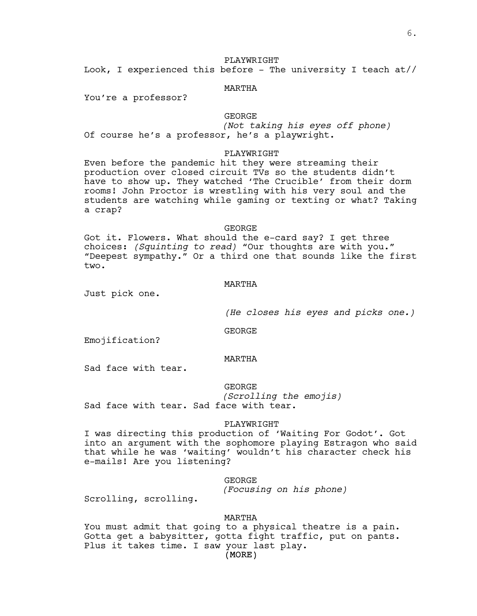# PLAYWRIGHT

Look, I experienced this before - The university I teach  $at$  //

## MARTHA

You're a professor?

# GEORGE

*(Not taking his eyes off phone)* Of course he's a professor, he's a playwright.

## PLAYWRIGHT

Even before the pandemic hit they were streaming their production over closed circuit TVs so the students didn't have to show up. They watched 'The Crucible' from their dorm rooms! John Proctor is wrestling with his very soul and the students are watching while gaming or texting or what? Taking a crap?

#### GEORGE

Got it. Flowers. What should the e-card say? I get three choices: *(Squinting to read)* "Our thoughts are with you." "Deepest sympathy." Or a third one that sounds like the first two.

# MARTHA

Just pick one.

*(He closes his eyes and picks one.)*

GEORGE

Emojification?

#### MARTHA

Sad face with tear.

GEORGE

*(Scrolling the emojis)* Sad face with tear. Sad face with tear.

#### PLAYWRIGHT

I was directing this production of 'Waiting For Godot'. Got into an argument with the sophomore playing Estragon who said that while he was 'waiting' wouldn't his character check his e-mails! Are you listening?

## GEORGE

*(Focusing on his phone)*

Scrolling, scrolling.

## MARTHA

You must admit that going to a physical theatre is a pain. Gotta get a babysitter, gotta fight traffic, put on pants. Plus it takes time. I saw your last play.

(MORE)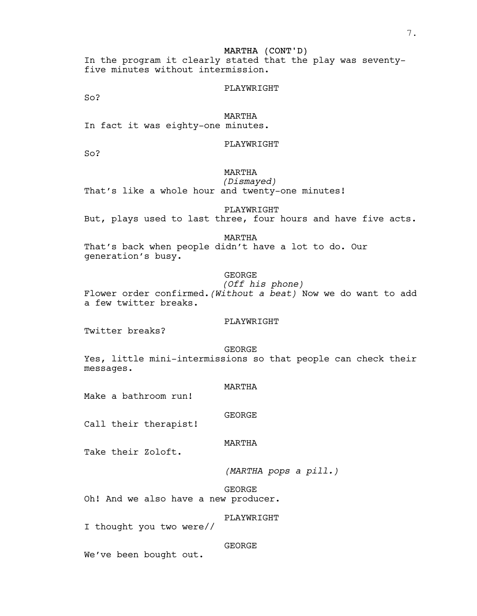In the program it clearly stated that the play was seventyfive minutes without intermission.

#### PLAYWRIGHT

So?

## MARTHA

In fact it was eighty-one minutes.

PLAYWRIGHT

So?

# MARTHA

*(Dismayed)*

That's like a whole hour and twenty-one minutes!

PLAYWRIGHT

But, plays used to last three, four hours and have five acts.

#### MARTHA

That's back when people didn't have a lot to do. Our generation's busy.

## GEORGE

*(Off his phone)*

Flower order confirmed.*(Without a beat)* Now we do want to add a few twitter breaks.

# PLAYWRIGHT

Twitter breaks?

GEORGE Yes, little mini-intermissions so that people can check their messages.

## MARTHA

Make a bathroom run!

## GEORGE

Call their therapist!

## MARTHA

Take their Zoloft.

*(MARTHA pops a pill.)*

GEORGE Oh! And we also have a new producer.

# PLAYWRIGHT

I thought you two were//

#### GEORGE

We've been bought out.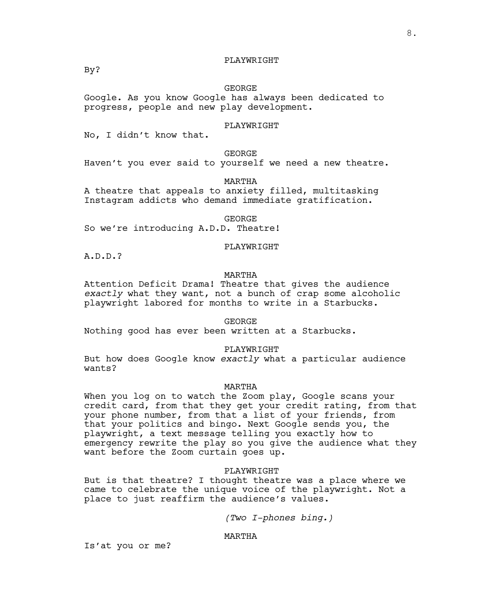# PLAYWRIGHT

GEORGE

Google. As you know Google has always been dedicated to progress, people and new play development.

## PLAYWRIGHT

No, I didn't know that.

GEORGE

Haven't you ever said to yourself we need a new theatre.

MARTHA

A theatre that appeals to anxiety filled, multitasking Instagram addicts who demand immediate gratification.

GEORGE

So we're introducing A.D.D. Theatre!

#### PLAYWRIGHT

A.D.D.?

# MARTHA

Attention Deficit Drama! Theatre that gives the audience *exactly* what they want, not a bunch of crap some alcoholic playwright labored for months to write in a Starbucks.

GEORGE

Nothing good has ever been written at a Starbucks.

## PLAYWRIGHT

But how does Google know *exactly* what a particular audience wants?

## MARTHA

When you log on to watch the Zoom play, Google scans your credit card, from that they get your credit rating, from that your phone number, from that a list of your friends, from that your politics and bingo. Next Google sends you, the playwright, a text message telling you exactly how to emergency rewrite the play so you give the audience what they want before the Zoom curtain goes up.

## PLAYWRIGHT

But is that theatre? I thought theatre was a place where we came to celebrate the unique voice of the playwright. Not a place to just reaffirm the audience's values.

*(Two I-phones bing.)*

# MARTHA

Is'at you or me?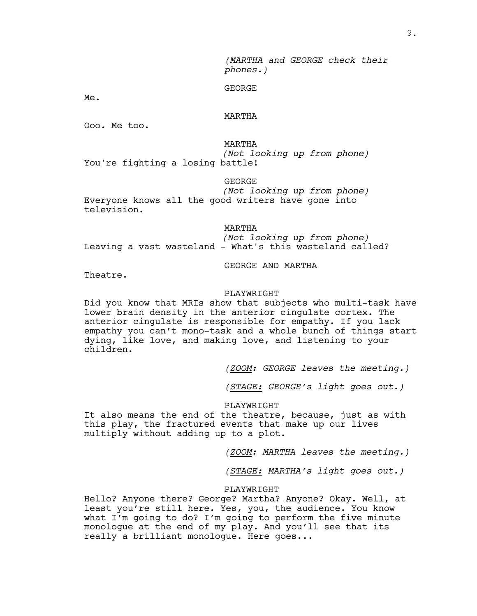9.

*(MARTHA and GEORGE check their phones.)*

GEORGE

Me.

## MARTHA

Ooo. Me too.

MARTHA *(Not looking up from phone)* You're fighting a losing battle!

GEORGE

*(Not looking up from phone)* Everyone knows all the good writers have gone into television.

MARTHA

*(Not looking up from phone)* Leaving a vast wasteland - What's this wasteland called?

GEORGE AND MARTHA

Theatre.

#### PLAYWRIGHT

Did you know that MRIs show that subjects who multi-task have lower brain density in the anterior cingulate cortex. The anterior cingulate is responsible for empathy. If you lack empathy you can't mono-task and a whole bunch of things start dying, like love, and making love, and listening to your children.

*(ZOOM: GEORGE leaves the meeting.)*

*(STAGE: GEORGE's light goes out.)*

PLAYWRIGHT

It also means the end of the theatre, because, just as with this play, the fractured events that make up our lives multiply without adding up to a plot.

*(ZOOM: MARTHA leaves the meeting.)*

*(STAGE: MARTHA's light goes out.)*

#### PLAYWRIGHT

Hello? Anyone there? George? Martha? Anyone? Okay. Well, at least you're still here. Yes, you, the audience. You know what I'm going to do? I'm going to perform the five minute monologue at the end of my play. And you'll see that its really a brilliant monologue. Here goes...